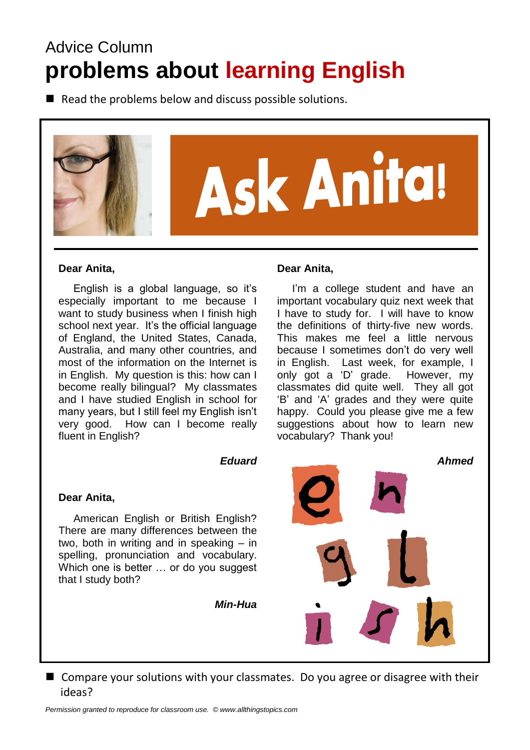# Advice Column **problems about learning English**

 $\blacksquare$  Read the problems below and discuss possible solutions.



### **Dear Anita,**

 English is a global language, so it's especially important to me because I want to study business when I finish high school next year. It's the official language of England, the United States, Canada, Australia, and many other countries, and most of the information on the Internet is in English. My question is this: how can I become really bilingual? My classmates and I have studied English in school for many years, but I still feel my English isn't very good. How can I become really fluent in English?

### *Eduard*

### **Dear Anita,**

 American English or British English? There are many differences between the two, both in writing and in speaking – in spelling, pronunciation and vocabulary. Which one is better … or do you suggest that I study both?

*Min-Hua*



**Dear Anita,**

the definitions of thirty-five new words. This makes me feel a little nervous because I sometimes don't do very well in English. Last week, for example, I only got a 'D' grade. However, my classmates did quite well. They all got 'B' and 'A' grades and they were quite happy. Could you please give me a few suggestions about how to learn new vocabulary? Thank you!

I'm a college student and have an



■ Compare your solutions with your classmates. Do you agree or disagree with their ideas?